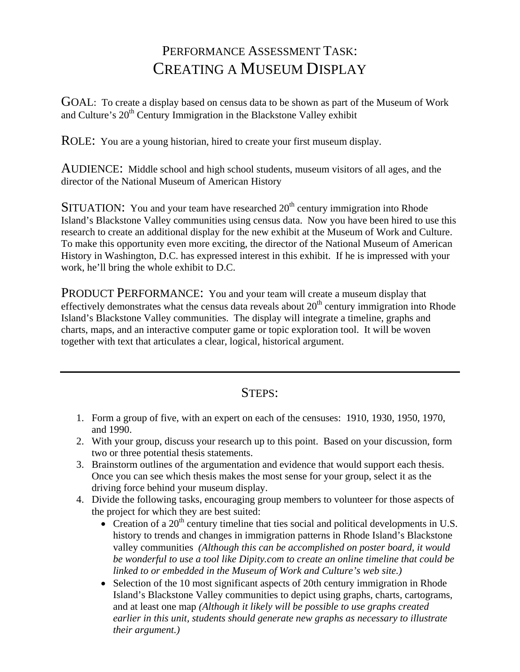## PERFORMANCE ASSESSMENT TASK: CREATING A MUSEUM DISPLAY

GOAL: To create a display based on census data to be shown as part of the Museum of Work and Culture's  $20<sup>th</sup>$  Century Immigration in the Blackstone Valley exhibit

ROLE: You are a young historian, hired to create your first museum display.

AUDIENCE: Middle school and high school students, museum visitors of all ages, and the director of the National Museum of American History

SITUATION: You and your team have researched  $20<sup>th</sup>$  century immigration into Rhode Island's Blackstone Valley communities using census data. Now you have been hired to use this research to create an additional display for the new exhibit at the Museum of Work and Culture. To make this opportunity even more exciting, the director of the National Museum of American History in Washington, D.C. has expressed interest in this exhibit. If he is impressed with your work, he'll bring the whole exhibit to D.C.

PRODUCT PERFORMANCE: You and your team will create a museum display that effectively demonstrates what the census data reveals about  $20<sup>th</sup>$  century immigration into Rhode Island's Blackstone Valley communities. The display will integrate a timeline, graphs and charts, maps, and an interactive computer game or topic exploration tool. It will be woven together with text that articulates a clear, logical, historical argument.

## STEPS:

- 1. Form a group of five, with an expert on each of the censuses: 1910, 1930, 1950, 1970, and 1990.
- 2. With your group, discuss your research up to this point. Based on your discussion, form two or three potential thesis statements.
- 3. Brainstorm outlines of the argumentation and evidence that would support each thesis. Once you can see which thesis makes the most sense for your group, select it as the driving force behind your museum display.
- 4. Divide the following tasks, encouraging group members to volunteer for those aspects of the project for which they are best suited:
	- $\bullet$  Creation of a 20<sup>th</sup> century timeline that ties social and political developments in U.S. history to trends and changes in immigration patterns in Rhode Island's Blackstone valley communities *(Although this can be accomplished on poster board, it would be wonderful to use a tool like Dipity.com to create an online timeline that could be linked to or embedded in the Museum of Work and Culture's web site.)*
	- Selection of the 10 most significant aspects of 20th century immigration in Rhode Island's Blackstone Valley communities to depict using graphs, charts, cartograms, and at least one map *(Although it likely will be possible to use graphs created earlier in this unit, students should generate new graphs as necessary to illustrate their argument.)*